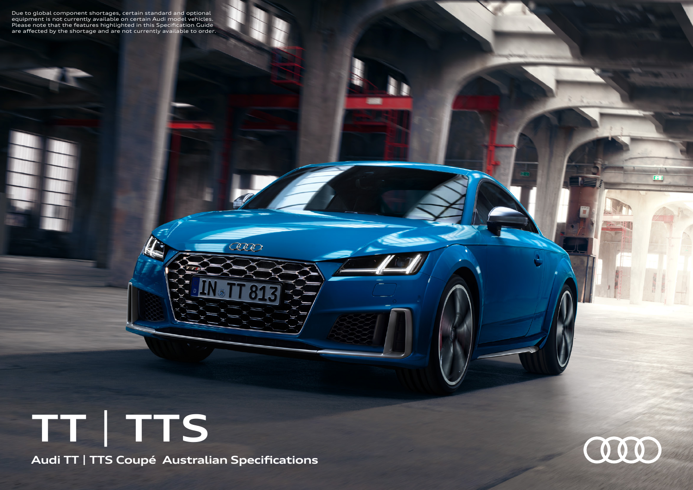Due to global component shortages, certain standard and optional<br>equipment is not currently available on certain Audi model vehicles.<br>Please note that the features highlighted in this Specification Guide<br>are affected by th

## **TT** | **TTS**

**Audi TT | TTS Coupé Australian Specifications**

ceeo

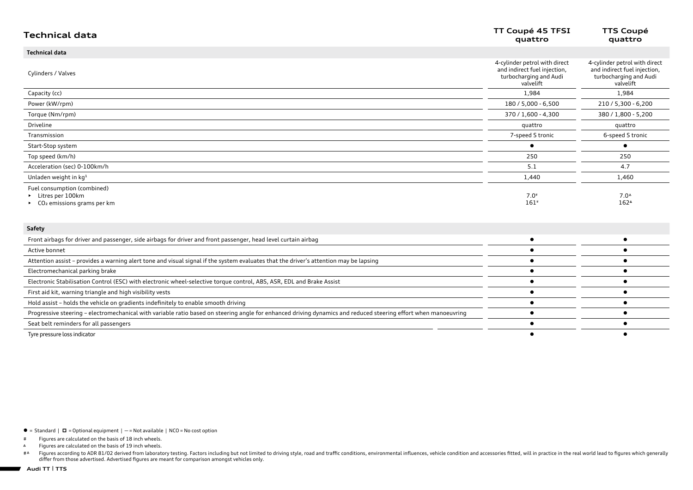| <b>Technical data</b>                                                                                                                                           | TT Coupé 45 TFSI<br>quattro                                                                          | <b>TTS Coupé</b><br>quattro                                                                          |
|-----------------------------------------------------------------------------------------------------------------------------------------------------------------|------------------------------------------------------------------------------------------------------|------------------------------------------------------------------------------------------------------|
| <b>Technical data</b>                                                                                                                                           |                                                                                                      |                                                                                                      |
| Cylinders / Valves                                                                                                                                              | 4-cylinder petrol with direct<br>and indirect fuel injection,<br>turbocharging and Audi<br>valvelift | 4-cylinder petrol with direct<br>and indirect fuel injection,<br>turbocharging and Audi<br>valvelift |
| Capacity (cc)                                                                                                                                                   | 1,984                                                                                                | 1,984                                                                                                |
| Power (kW/rpm)                                                                                                                                                  | 180 / 5,000 - 6,500                                                                                  | 210 / 5,300 - 6,200                                                                                  |
| Torque (Nm/rpm)                                                                                                                                                 | 370 / 1,600 - 4,300                                                                                  | 380 / 1,800 - 5,200                                                                                  |
| Driveline                                                                                                                                                       | quattro                                                                                              | quattro                                                                                              |
| Transmission                                                                                                                                                    | 7-speed S tronic                                                                                     | 6-speed S tronic                                                                                     |
| Start-Stop system                                                                                                                                               |                                                                                                      |                                                                                                      |
| Top speed (km/h)                                                                                                                                                | 250                                                                                                  | 250                                                                                                  |
| Acceleration (sec) 0-100km/h                                                                                                                                    | 5.1                                                                                                  | 4.7                                                                                                  |
| Unladen weight in kg <sup>1</sup>                                                                                                                               | 1,440                                                                                                | 1,460                                                                                                |
| Fuel consumption (combined)<br>Litres per 100km<br>$\triangleright$ CO <sub>2</sub> emissions grams per km                                                      | $7.0*$<br>$161*$                                                                                     | $7.0^{\circ}$<br>$162^{\circ}$                                                                       |
| Safety                                                                                                                                                          |                                                                                                      |                                                                                                      |
| Front airbags for driver and passenger, side airbags for driver and front passenger, head level curtain airbag                                                  |                                                                                                      |                                                                                                      |
| Active bonnet                                                                                                                                                   |                                                                                                      |                                                                                                      |
| Attention assist - provides a warning alert tone and visual signal if the system evaluates that the driver's attention may be lapsing                           |                                                                                                      |                                                                                                      |
| Electromechanical parking brake                                                                                                                                 |                                                                                                      |                                                                                                      |
| Electronic Stabilisation Control (ESC) with electronic wheel-selective torque control, ABS, ASR, EDL and Brake Assist                                           |                                                                                                      |                                                                                                      |
| First aid kit, warning triangle and high visibility vests                                                                                                       |                                                                                                      |                                                                                                      |
| Hold assist - holds the vehicle on gradients indefinitely to enable smooth driving                                                                              |                                                                                                      |                                                                                                      |
| Progressive steering - electromechanical with variable ratio based on steering angle for enhanced driving dynamics and reduced steering effort when manoeuvring |                                                                                                      |                                                                                                      |
| Seat belt reminders for all passengers                                                                                                                          |                                                                                                      |                                                                                                      |
| Tyre pressure loss indicator                                                                                                                                    |                                                                                                      |                                                                                                      |

 $\bullet$  = Standard |  $\Box$  = Optional equipment | - = Not available | NCO = No cost option

# Figures are calculated on the basis of 18 inch wheels.

Figures are calculated on the basis of 19 inch wheels.  $\Delta$ 

#△ Figures according to ADR 81/02 derived from laboratory testing. Factors including but not limited to driving style, road and traffic conditions, environmental influences, vehicle condition and accessories fitted, will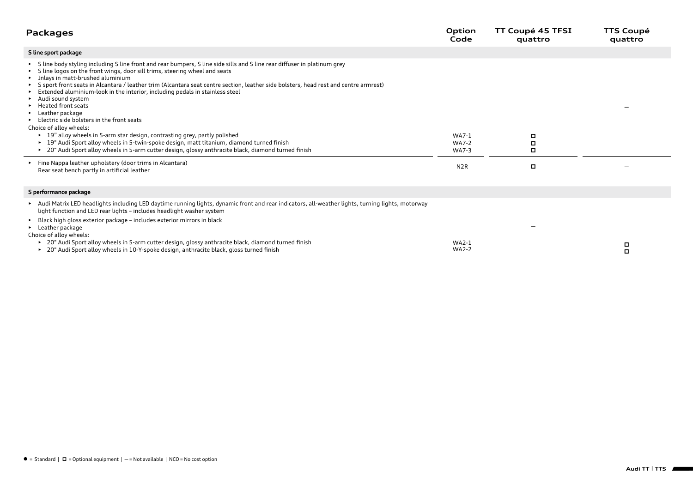| <b>Packages</b>                                                                                                                                                                                                                                                                                                                                                                                                                                                                                                                                                                                                                                                                                                                                                                                                                                                                                                                                                                                                | Option<br>Code                                            | TT Coupé 45 TFSI<br>quattro | <b>TTS Coupé</b><br>quattro |
|----------------------------------------------------------------------------------------------------------------------------------------------------------------------------------------------------------------------------------------------------------------------------------------------------------------------------------------------------------------------------------------------------------------------------------------------------------------------------------------------------------------------------------------------------------------------------------------------------------------------------------------------------------------------------------------------------------------------------------------------------------------------------------------------------------------------------------------------------------------------------------------------------------------------------------------------------------------------------------------------------------------|-----------------------------------------------------------|-----------------------------|-----------------------------|
| S line sport package                                                                                                                                                                                                                                                                                                                                                                                                                                                                                                                                                                                                                                                                                                                                                                                                                                                                                                                                                                                           |                                                           |                             |                             |
| S line body styling including S line front and rear bumpers, S line side sills and S line rear diffuser in platinum grey<br>S line logos on the front wings, door sill trims, steering wheel and seats<br>Inlays in matt-brushed aluminium<br>S sport front seats in Alcantara / leather trim (Alcantara seat centre section, leather side bolsters, head rest and centre armrest)<br>Extended aluminium-look in the interior, including pedals in stainless steel<br>Audi sound system<br><b>Heated front seats</b><br>Leather package<br>Electric side bolsters in the front seats<br>Choice of alloy wheels:<br>▶ 19" alloy wheels in 5-arm star design, contrasting grey, partly polished<br>▶ 19" Audi Sport alloy wheels in 5-twin-spoke design, matt titanium, diamond turned finish<br>▶ 20" Audi Sport alloy wheels in 5-arm cutter design, glossy anthracite black, diamond turned finish<br>Fine Nappa leather upholstery (door trims in Alcantara)<br>Rear seat bench partly in artificial leather | WA7-1<br><b>WA7-2</b><br><b>WA7-3</b><br>N <sub>2</sub> R | о<br>о<br>о<br>O            |                             |
| S performance package                                                                                                                                                                                                                                                                                                                                                                                                                                                                                                                                                                                                                                                                                                                                                                                                                                                                                                                                                                                          |                                                           |                             |                             |
| Audi Matrix LED headlights including LED daytime running lights, dynamic front and rear indicators, all-weather lights, turning lights, motorway<br>light function and LED rear lights - includes headlight washer system<br>Black high gloss exterior package - includes exterior mirrors in black<br>$\blacktriangleright$<br>Leather package<br>Choice of alloy wheels:<br>► 20" Audi Sport alloy wheels in 5-arm cutter design, glossy anthracite black, diamond turned finish                                                                                                                                                                                                                                                                                                                                                                                                                                                                                                                             | <b>WA2-1</b>                                              |                             | о                           |
| ► 20" Audi Sport alloy wheels in 10-Y-spoke design, anthracite black, gloss turned finish                                                                                                                                                                                                                                                                                                                                                                                                                                                                                                                                                                                                                                                                                                                                                                                                                                                                                                                      | <b>WA2-2</b>                                              |                             | о                           |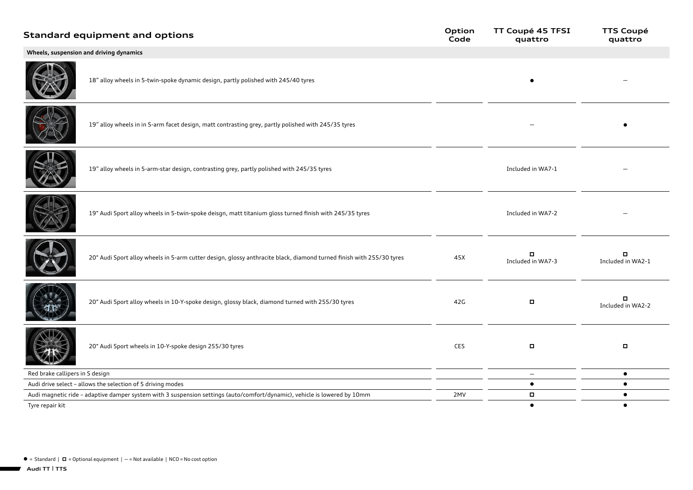|                                 | <b>Standard equipment and options</b>                                                                                     | Option<br>Code | TT Coupé 45 TFSI<br>quattro | <b>TTS Coupé</b><br>quattro |
|---------------------------------|---------------------------------------------------------------------------------------------------------------------------|----------------|-----------------------------|-----------------------------|
|                                 | Wheels, suspension and driving dynamics                                                                                   |                |                             |                             |
|                                 | 18" alloy wheels in 5-twin-spoke dynamic design, partly polished with 245/40 tyres                                        |                |                             |                             |
|                                 | 19" alloy wheels in in 5-arm facet design, matt contrasting grey, partly polished with 245/35 tyres                       |                |                             |                             |
|                                 | 19" alloy wheels in 5-arm-star design, contrasting grey, partly polished with 245/35 tyres                                |                | Included in WA7-1           |                             |
|                                 | 19" Audi Sport alloy wheels in 5-twin-spoke deisgn, matt titanium gloss turned finish with 245/35 tyres                   |                | Included in WA7-2           |                             |
|                                 | 20" Audi Sport alloy wheels in 5-arm cutter design, glossy anthracite black, diamond turned finish with 255/30 tyres      | 45X            | о<br>Included in WA7-3      | п<br>Included in WA2-1      |
|                                 | 20" Audi Sport alloy wheels in 10-Y-spoke design, glossy black, diamond turned with 255/30 tyres                          | 42G            | $\Box$                      | п<br>Included in WA2-2      |
|                                 | 20" Audi Sport wheels in 10-Y-spoke design 255/30 tyres                                                                   | CE5            | $\Box$                      | $\blacksquare$              |
| Red brake callipers in S design |                                                                                                                           |                | $\overline{\phantom{m}}$    | $\bullet$                   |
|                                 | Audi drive select - allows the selection of 5 driving modes                                                               |                | $\bullet$                   | $\bullet$                   |
|                                 | Audi magnetic ride - adaptive damper system with 3 suspension settings (auto/comfort/dynamic), vehicle is lowered by 10mm | 2MV            | о                           | $\bullet$                   |
| Tyre repair kit                 |                                                                                                                           |                | $\bullet$                   | $\bullet$                   |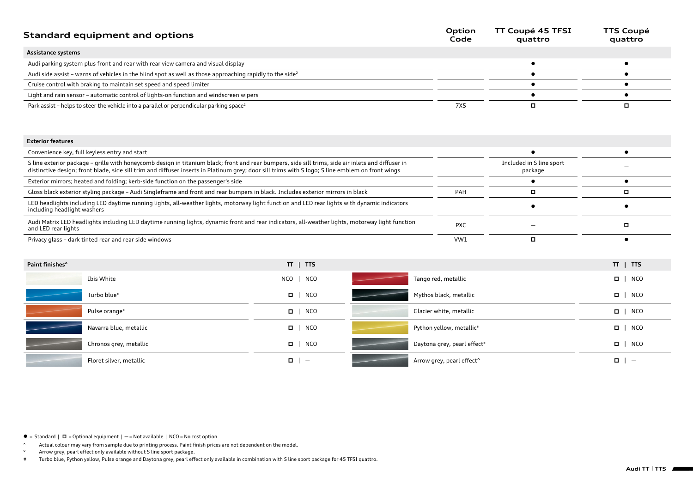| Standard equipment and options                                                                                       | Option<br>Code | TT Coupé 45 TFSI<br>quattro | <b>TTS Coupé</b><br>quattro |
|----------------------------------------------------------------------------------------------------------------------|----------------|-----------------------------|-----------------------------|
| Assistance systems                                                                                                   |                |                             |                             |
| Audi parking system plus front and rear with rear view camera and visual display                                     |                |                             |                             |
| Audi side assist - warns of vehicles in the blind spot as well as those approaching rapidly to the side <sup>2</sup> |                |                             |                             |
| Cruise control with braking to maintain set speed and speed limiter                                                  |                |                             |                             |
| Light and rain sensor - automatic control of lights-on function and windscreen wipers                                |                |                             |                             |
| Park assist – helps to steer the vehicle into a parallel or perpendicular parking space <sup>2</sup>                 | 7X5            |                             |                             |

## **Exterior features**

| Convenience key, full keyless entry and start                                                                                                                                                                                                                                                          |            |                                     |  |
|--------------------------------------------------------------------------------------------------------------------------------------------------------------------------------------------------------------------------------------------------------------------------------------------------------|------------|-------------------------------------|--|
| S line exterior package - grille with honeycomb design in titanium black; front and rear bumpers, side sill trims, side air inlets and diffuser in<br>distinctive design; front blade, side sill trim and diffuser inserts in Platinum grey; door sill trims with S logo; S line emblem on front wings |            | Included in S line sport<br>package |  |
| Exterior mirrors; heated and folding; kerb-side function on the passenger's side                                                                                                                                                                                                                       |            |                                     |  |
| Gloss black exterior styling package - Audi Singleframe and front and rear bumpers in black. Includes exterior mirrors in black                                                                                                                                                                        | PAH        |                                     |  |
| LED headlights including LED daytime running lights, all-weather lights, motorway light function and LED rear lights with dynamic indicators<br>including headlight washers                                                                                                                            |            |                                     |  |
| Audi Matrix LED headlights including LED daytime running lights, dynamic front and rear indicators, all-weather lights, motorway light function<br>and LED rear lights                                                                                                                                 | <b>PXC</b> |                                     |  |
| Privacy glass – dark tinted rear and rear side windows                                                                                                                                                                                                                                                 | VW1        |                                     |  |

| Paint finishes <sup>^</sup> | $TT$   $TTS$                       |                                       | $TT$   $TTS$ |
|-----------------------------|------------------------------------|---------------------------------------|--------------|
| Ibis White                  | $NCO$   $NCO$                      | Tango red, metallic                   | $\Box$ NCO   |
| Turbo blue <sup>#</sup>     | $\Box$   NCO                       | Mythos black, metallic                | $\Box$ NCO   |
| Pulse orange <sup>#</sup>   | $\Box$   NCO                       | Glacier white, metallic               | $\Box$ NCO   |
| Navarra blue, metallic      | $\Box$   NCO                       | Python yellow, metallic <sup>#</sup>  | $\Box$ NCO   |
| Chronos grey, metallic      | $\Box$ NCO                         | Daytona grey, pearl effect#           | $\Box$ NCO   |
| Floret silver, metallic     | $\Box$<br>$\overline{\phantom{0}}$ | Arrow grey, pearl effect <sup>o</sup> | $\Box$       |

 $\bullet$  = Standard  $\mid$   $\Box$  = Optional equipment  $\mid$   $-$  = Not available  $\mid$  NCO = No cost option

^ Actual colour may vary from sample due to printing process. Paint finish prices are not dependent on the model.

° Arrow grey, pearl effect only available without S line sport package.

# Turbo blue, Python yellow, Pulse orange and Daytona grey, pearl effect only available in combination with S line sport package for 45 TFSI quattro.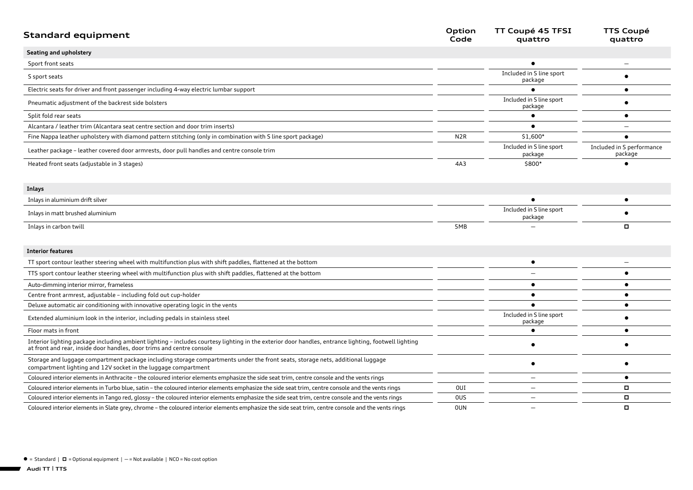| <b>Standard equipment</b>                                                                                                                                                                                                     | Option<br>Code   | TT Coupé 45 TFSI<br>quattro         | <b>TTS Coupé</b><br>quattro          |
|-------------------------------------------------------------------------------------------------------------------------------------------------------------------------------------------------------------------------------|------------------|-------------------------------------|--------------------------------------|
| Seating and upholstery                                                                                                                                                                                                        |                  |                                     |                                      |
| Sport front seats                                                                                                                                                                                                             |                  |                                     |                                      |
| S sport seats                                                                                                                                                                                                                 |                  | Included in S line sport<br>package |                                      |
| Electric seats for driver and front passenger including 4-way electric lumbar support                                                                                                                                         |                  |                                     |                                      |
| Pneumatic adjustment of the backrest side bolsters                                                                                                                                                                            |                  | Included in S line sport<br>package |                                      |
| Split fold rear seats                                                                                                                                                                                                         |                  | $\bullet$                           |                                      |
| Alcantara / leather trim (Alcantara seat centre section and door trim inserts)                                                                                                                                                |                  |                                     |                                      |
| Fine Nappa leather upholstery with diamond pattern stitching (only in combination with S line sport package)                                                                                                                  | N <sub>2</sub> R | \$1,600*                            |                                      |
| Leather package - leather covered door armrests, door pull handles and centre console trim                                                                                                                                    |                  | Included in S line sport<br>package | Included in S performance<br>package |
| Heated front seats (adjustable in 3 stages)                                                                                                                                                                                   | 4A3              | \$800*                              |                                      |
| Inlays                                                                                                                                                                                                                        |                  |                                     |                                      |
| Inlays in aluminium drift silver                                                                                                                                                                                              |                  |                                     | $\bullet$                            |
| Inlays in matt brushed aluminium                                                                                                                                                                                              |                  | Included in S line sport<br>package |                                      |
| Inlays in carbon twill                                                                                                                                                                                                        | 5MB              |                                     | $\Box$                               |
| <b>Interior features</b>                                                                                                                                                                                                      |                  |                                     |                                      |
| TT sport contour leather steering wheel with multifunction plus with shift paddles, flattened at the bottom                                                                                                                   |                  | $\bullet$                           |                                      |
| TTS sport contour leather steering wheel with multifunction plus with shift paddles, flattened at the bottom                                                                                                                  |                  |                                     |                                      |
| Auto-dimming interior mirror, frameless                                                                                                                                                                                       |                  |                                     |                                      |
| Centre front armrest, adjustable - including fold out cup-holder                                                                                                                                                              |                  |                                     |                                      |
| Deluxe automatic air conditioning with innovative operating logic in the vents                                                                                                                                                |                  |                                     | $\bullet$                            |
| Extended aluminium look in the interior, including pedals in stainless steel                                                                                                                                                  |                  | Included in S line sport<br>package |                                      |
| Floor mats in front                                                                                                                                                                                                           |                  |                                     |                                      |
| Interior lighting package including ambient lighting - includes courtesy lighting in the exterior door handles, entrance lighting, footwell lighting<br>at front and rear, inside door handles, door trims and centre console |                  |                                     |                                      |
| Storage and luggage compartment package including storage compartments under the front seats, storage nets, additional luggage<br>compartment lighting and 12V socket in the luggage compartment                              |                  | $\bullet$                           |                                      |
| Coloured interior elements in Anthracite - the coloured interior elements emphasize the side seat trim, centre console and the vents rings                                                                                    |                  | $\overline{\phantom{0}}$            | $\bullet$                            |
| Coloured interior elements in Turbo blue, satin - the coloured interior elements emphasize the side seat trim, centre console and the vents rings                                                                             | <b>OUI</b>       |                                     | $\Box$                               |
| Coloured interior elements in Tango red, glossy – the coloured interior elements emphasize the side seat trim, centre console and the vents rings                                                                             | <b>OUS</b>       | $\equiv$                            | о                                    |
| Coloured interior elements in Slate grey, chrome – the coloured interior elements emphasize the side seat trim, centre console and the vents rings                                                                            | <b>OUN</b>       |                                     | $\Box$                               |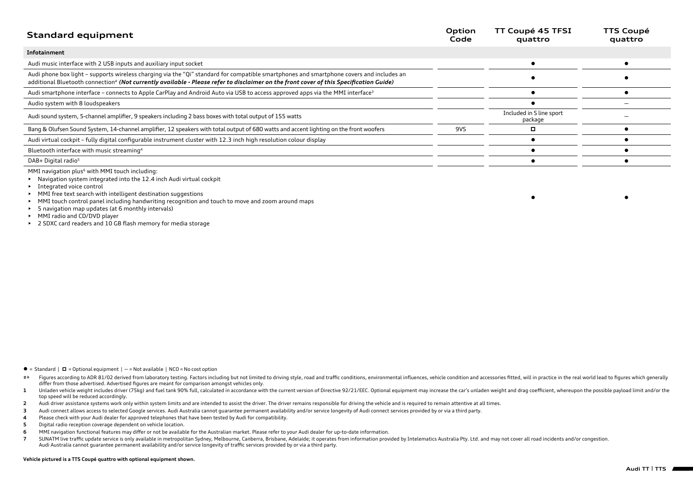| <b>Standard equipment</b>                                                                                                                                                                                                                                                                      | Option<br>Code | TT Coupé 45 TFSI<br>quattro         | <b>TTS Coupé</b><br>quattro |
|------------------------------------------------------------------------------------------------------------------------------------------------------------------------------------------------------------------------------------------------------------------------------------------------|----------------|-------------------------------------|-----------------------------|
| Infotainment                                                                                                                                                                                                                                                                                   |                |                                     |                             |
| Audi music interface with 2 USB inputs and auxiliary input socket                                                                                                                                                                                                                              |                |                                     |                             |
| Audi phone box light - supports wireless charging via the "Qi" standard for compatible smartphones and smartphone covers and includes an<br>additional Bluetooth connection <sup>4</sup> (Not currently available - Please refer to disclaimer on the front cover of this Specification Guide) |                |                                     |                             |
| Audi smartphone interface - connects to Apple CarPlay and Android Auto via USB to access approved apps via the MMI interface <sup>3</sup>                                                                                                                                                      |                |                                     |                             |
| Audio system with 8 loudspeakers                                                                                                                                                                                                                                                               |                |                                     |                             |
| Audi sound system, 5-channel amplifier, 9 speakers including 2 bass boxes with total output of 155 watts                                                                                                                                                                                       |                | Included in S line sport<br>package |                             |
| Bang & Olufsen Sound System, 14-channel amplifier, 12 speakers with total output of 680 watts and accent lighting on the front woofers                                                                                                                                                         | 9VS            | o                                   |                             |
| Audi virtual cockpit - fully digital configurable instrument cluster with 12.3 inch high resolution colour display                                                                                                                                                                             |                |                                     |                             |
| Bluetooth interface with music streaming <sup>4</sup>                                                                                                                                                                                                                                          |                |                                     |                             |
| DAB+ Digital radio <sup>5</sup>                                                                                                                                                                                                                                                                |                |                                     |                             |

MMI navigation plus<sup>6</sup> with MMI touch including:

• Navigation system integrated into the 12.4 inch Audi virtual cockpit

• Integrated voice control

• MMI free text search with intelligent destination suggestions

• MMI touch control panel including handwriting recognition and touch to move and zoom around maps

• 5 navigation map updates (at 6 monthly intervals)

- MMI radio and CD/DVD player
- 2 SDXC card readers and 10 GB flash memory for media storage

- $\bullet$  = Standard  $\mid$   $\Box$  = Optional equipment  $\mid$   $-$  = Not available  $\mid$  NCO = No cost option
- #4 Figures according to ADR 81/02 derived from laboratory testing. Factors including but not limited to driving style, road and traffic conditions, environmental influences, vehicle condition and accessories fitted, will i differ from those advertised. Advertised figures are meant for comparison amongst vehicles only.
- 1 Unladen vehicle weight includes driver (75kg) and fuel tank 90% full, calculated in accordance with the current version of Directive 92/21/EEC. Optional equipment may increase the car's unladen weight and drag coefficien top speed will be reduced accordingly.
- **2** Audi driver assistance systems work only within system limits and are intended to assist the driver. The driver remains responsible for driving the vehicle and is required to remain attentive at all times.
- **3** Audi connect allows access to selected Google services. Audi Australia cannot guarantee permanent availability and/or service longevity of Audi connect services provided by or via a third party.
- **4** Please check with your Audi dealer for approved telephones that have been tested by Audi for compatibility.
- **5** Digital radio reception coverage dependent on vehicle location.
- **6** MMI navigation functional features may differ or not be available for the Australian market. Please refer to your Audi dealer for up-to-date information.
- 7 SUNATM live traffic update service is only available in metropolitan Sydney, Melbourne, Canberra, Brisbane, Adelaide; it operates from information provided by Intelematics Australia Pty. Ltd. and may not cover all road i Audi Australia cannot guarantee permanent availability and/or service longevity of traffic services provided by or via a third party.

## **Vehicle pictured is a TTS Coupé quattro with optional equipment shown.**

 $\bullet$  later than  $\bullet$